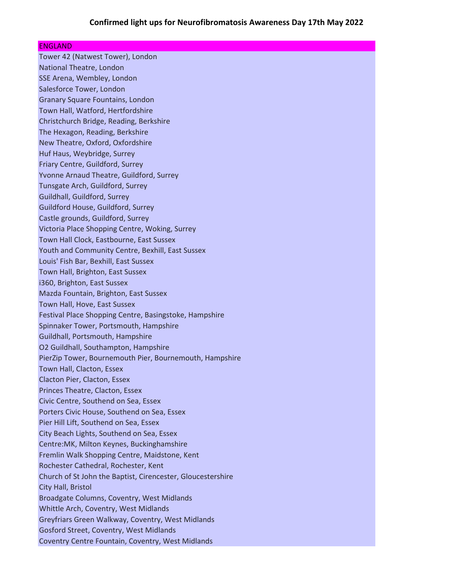# ENGLAND

Tower 42 (Natwest Tower), London National Theatre, London SSE Arena, Wembley, London Salesforce Tower, London Granary Square Fountains, London Town Hall, Watford, Hertfordshire Christchurch Bridge, Reading, Berkshire The Hexagon, Reading, Berkshire New Theatre, Oxford, Oxfordshire Huf Haus, Weybridge, Surrey Friary Centre, Guildford, Surrey Yvonne Arnaud Theatre, Guildford, Surrey Tunsgate Arch, Guildford, Surrey Guildhall, Guildford, Surrey Guildford House, Guildford, Surrey Castle grounds, Guildford, Surrey Victoria Place Shopping Centre, Woking, Surrey Town Hall Clock, Eastbourne, East Sussex Youth and Community Centre, Bexhill, East Sussex Louis' Fish Bar, Bexhill, East Sussex Town Hall, Brighton, East Sussex i360, Brighton, East Sussex Mazda Fountain, Brighton, East Sussex Town Hall, Hove, East Sussex Festival Place Shopping Centre, Basingstoke, Hampshire Spinnaker Tower, Portsmouth, Hampshire Guildhall, Portsmouth, Hampshire O2 Guildhall, Southampton, Hampshire PierZip Tower, Bournemouth Pier, Bournemouth, Hampshire Town Hall, Clacton, Essex Clacton Pier, Clacton, Essex Princes Theatre, Clacton, Essex Civic Centre, Southend on Sea, Essex Porters Civic House, Southend on Sea, Essex Pier Hill Lift, Southend on Sea, Essex City Beach Lights, Southend on Sea, Essex Centre:MK, Milton Keynes, Buckinghamshire Fremlin Walk Shopping Centre, Maidstone, Kent Rochester Cathedral, Rochester, Kent Church of St John the Baptist, Cirencester, Gloucestershire City Hall, Bristol Broadgate Columns, Coventry, West Midlands Whittle Arch, Coventry, West Midlands Greyfriars Green Walkway, Coventry, West Midlands Gosford Street, Coventry, West Midlands Coventry Centre Fountain, Coventry, West Midlands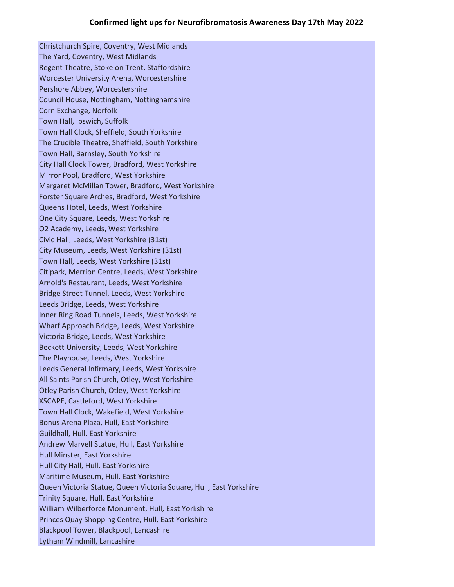Christchurch Spire, Coventry, West Midlands The Yard, Coventry, West Midlands Regent Theatre, Stoke on Trent, Staffordshire Worcester University Arena, Worcestershire Pershore Abbey, Worcestershire Council House, Nottingham, Nottinghamshire Corn Exchange, Norfolk Town Hall, Ipswich, Suffolk Town Hall Clock, Sheffield, South Yorkshire The Crucible Theatre, Sheffield, South Yorkshire Town Hall, Barnsley, South Yorkshire City Hall Clock Tower, Bradford, West Yorkshire Mirror Pool, Bradford, West Yorkshire Margaret McMillan Tower, Bradford, West Yorkshire Forster Square Arches, Bradford, West Yorkshire Queens Hotel, Leeds, West Yorkshire One City Square, Leeds, West Yorkshire O2 Academy, Leeds, West Yorkshire Civic Hall, Leeds, West Yorkshire (31st) City Museum, Leeds, West Yorkshire (31st) Town Hall, Leeds, West Yorkshire (31st) Citipark, Merrion Centre, Leeds, West Yorkshire Arnold's Restaurant, Leeds, West Yorkshire Bridge Street Tunnel, Leeds, West Yorkshire Leeds Bridge, Leeds, West Yorkshire Inner Ring Road Tunnels, Leeds, West Yorkshire Wharf Approach Bridge, Leeds, West Yorkshire Victoria Bridge, Leeds, West Yorkshire Beckett University, Leeds, West Yorkshire The Playhouse, Leeds, West Yorkshire Leeds General Infirmary, Leeds, West Yorkshire All Saints Parish Church, Otley, West Yorkshire Otley Parish Church, Otley, West Yorkshire XSCAPE, Castleford, West Yorkshire Town Hall Clock, Wakefield, West Yorkshire Bonus Arena Plaza, Hull, East Yorkshire Guildhall, Hull, East Yorkshire Andrew Marvell Statue, Hull, East Yorkshire Hull Minster, East Yorkshire Hull City Hall, Hull, East Yorkshire Maritime Museum, Hull, East Yorkshire Queen Victoria Statue, Queen Victoria Square, Hull, East Yorkshire Trinity Square, Hull, East Yorkshire William Wilberforce Monument, Hull, East Yorkshire Princes Quay Shopping Centre, Hull, East Yorkshire Blackpool Tower, Blackpool, Lancashire Lytham Windmill, Lancashire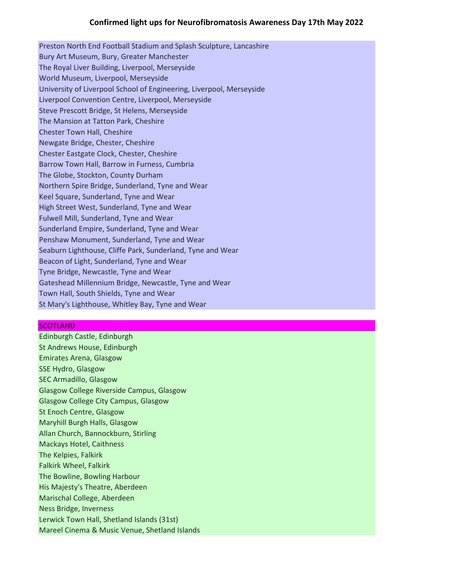Preston North End Football Stadium and Splash Sculpture, Lancashire Bury Art Museum, Bury, Greater Manchester The Royal Liver Building, Liverpool, Merseyside World Museum, Liverpool, Merseyside University of Liverpool School of Engineering, Liverpool, Merseyside Liverpool Convention Centre, Liverpool, Merseyside Steve Prescott Bridge, St Helens, Merseyside The Mansion at Tatton Park, Cheshire Chester Town Hall, Cheshire Newgate Bridge, Chester, Cheshire Chester Eastgate Clock, Chester, Cheshire Barrow Town Hall, Barrow in Furness, Cumbria The Globe, Stockton, County Durham Northern Spire Bridge, Sunderland, Tyne and Wear Keel Square, Sunderland, Tyne and Wear High Street West, Sunderland, Tyne and Wear Fulwell Mill, Sunderland, Tyne and Wear Sunderland Empire, Sunderland, Tyne and Wear Penshaw Monument, Sunderland, Tyne and Wear Seaburn Lighthouse, Cliffe Park, Sunderland, Tyne and Wear Beacon of Light, Sunderland, Tyne and Wear Tyne Bridge, Newcastle, Tyne and Wear Gateshead Millennium Bridge, Newcastle, Tyne and Wear Town Hall, South Shields, Tyne and Wear St Mary's Lighthouse, Whitley Bay, Tyne and Wear

# **SCOTLAND**

Edinburgh Castle, Edinburgh St Andrews House, Edinburgh Emirates Arena, Glasgow SSE Hydro, Glasgow SEC Armadillo, Glasgow Glasgow College Riverside Campus, Glasgow Glasgow College City Campus, Glasgow St Enoch Centre, Glasgow Maryhill Burgh Halls, Glasgow Allan Church, Bannockburn, Stirling Mackays Hotel, Caithness The Kelpies, Falkirk Falkirk Wheel, Falkirk The Bowline, Bowling Harbour His Majesty's Theatre, Aberdeen Marischal College, Aberdeen Ness Bridge, Inverness Lerwick Town Hall, Shetland Islands (31st) Mareel Cinema & Music Venue, Shetland Islands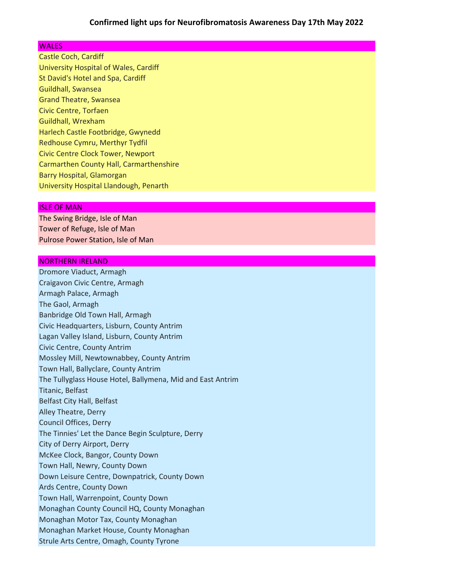### **WALES**

Castle Coch, Cardiff University Hospital of Wales, Cardiff St David's Hotel and Spa, Cardiff Guildhall, Swansea Grand Theatre, Swansea Civic Centre, Torfaen Guildhall, Wrexham Harlech Castle Footbridge, Gwynedd Redhouse Cymru, Merthyr Tydfil Civic Centre Clock Tower, Newport Carmarthen County Hall, Carmarthenshire Barry Hospital, Glamorgan University Hospital Llandough, Penarth

#### ISLE OF MAN

The Swing Bridge, Isle of Man Tower of Refuge, Isle of Man Pulrose Power Station, Isle of Man

#### NORTHERN IRELAND

Dromore Viaduct, Armagh Craigavon Civic Centre, Armagh Armagh Palace, Armagh The Gaol, Armagh Banbridge Old Town Hall, Armagh Civic Headquarters, Lisburn, County Antrim Lagan Valley Island, Lisburn, County Antrim Civic Centre, County Antrim Mossley Mill, Newtownabbey, County Antrim Town Hall, Ballyclare, County Antrim The Tullyglass House Hotel, Ballymena, Mid and East Antrim Titanic, Belfast Belfast City Hall, Belfast Alley Theatre, Derry Council Offices, Derry The Tinnies' Let the Dance Begin Sculpture, Derry City of Derry Airport, Derry McKee Clock, Bangor, County Down Town Hall, Newry, County Down Down Leisure Centre, Downpatrick, County Down Ards Centre, County Down Town Hall, Warrenpoint, County Down Monaghan County Council HQ, County Monaghan Monaghan Motor Tax, County Monaghan Monaghan Market House, County Monaghan Strule Arts Centre, Omagh, County Tyrone